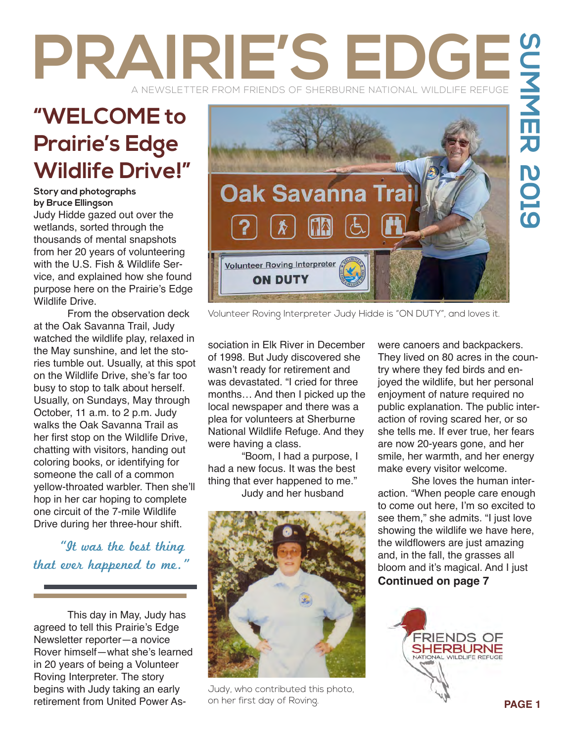# PRAIRIE'S ED A NEWSLETTER FROM FRIENDS OF SHERBURNE NATIONAL WILDLIFE REFUGE

## **"WELCOME to Prairie's Edge Wildlife Drive!"**

#### **Story and photographs by Bruce Ellingson**

Judy Hidde gazed out over the wetlands, sorted through the thousands of mental snapshots from her 20 years of volunteering with the U.S. Fish & Wildlife Service, and explained how she found purpose here on the Prairie's Edge Wildlife Drive.

From the observation deck at the Oak Savanna Trail, Judy watched the wildlife play, relaxed in the May sunshine, and let the stories tumble out. Usually, at this spot on the Wildlife Drive, she's far too busy to stop to talk about herself. Usually, on Sundays, May through October, 11 a.m. to 2 p.m. Judy walks the Oak Savanna Trail as her first stop on the Wildlife Drive, chatting with visitors, handing out coloring books, or identifying for someone the call of a common yellow-throated warbler. Then she'll hop in her car hoping to complete one circuit of the 7-mile Wildlife Drive during her three-hour shift.

 "It was the best thing that ever happened to me."

This day in May, Judy has agreed to tell this Prairie's Edge Newsletter reporter—a novice Rover himself—what she's learned in 20 years of being a Volunteer Roving Interpreter. The story begins with Judy taking an early retirement from United Power As-



Volunteer Roving Interpreter Judy Hidde is "ON DUTY", and loves it.

sociation in Elk River in December of 1998. But Judy discovered she wasn't ready for retirement and was devastated. "I cried for three months… And then I picked up the local newspaper and there was a plea for volunteers at Sherburne National Wildlife Refuge. And they were having a class.

"Boom, I had a purpose, I had a new focus. It was the best thing that ever happened to me." Judy and her husband



Judy, who contributed this photo, on her first day of Roving.

were canoers and backpackers. They lived on 80 acres in the country where they fed birds and enjoyed the wildlife, but her personal enjoyment of nature required no public explanation. The public interaction of roving scared her, or so she tells me. If ever true, her fears are now 20-years gone, and her smile, her warmth, and her energy make every visitor welcome.

She loves the human interaction. "When people care enough to come out here, I'm so excited to see them," she admits. "I just love showing the wildlife we have here, the wildflowers are just amazing and, in the fall, the grasses all bloom and it's magical. And I just **Continued on page 7** 

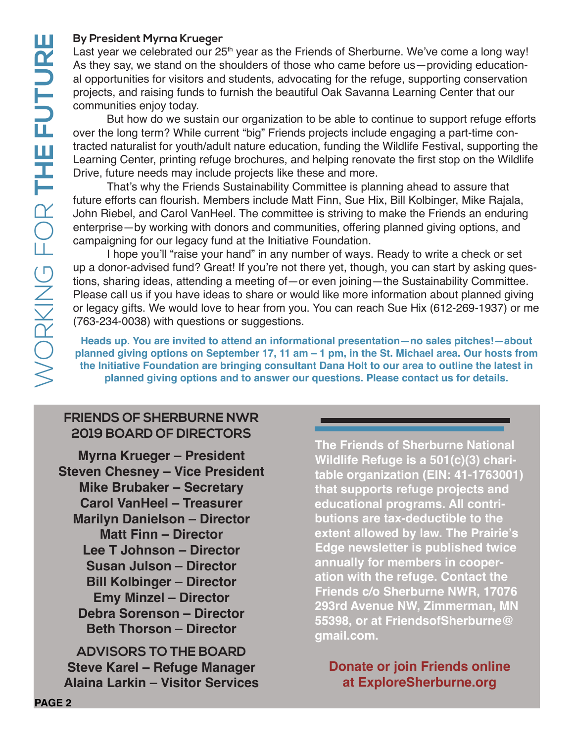## **By President Myrna Krueger**

Last year we celebrated our 25<sup>th</sup> year as the Friends of Sherburne. We've come a long way! As they say, we stand on the shoulders of those who came before us—providing educational opportunities for visitors and students, advocating for the refuge, supporting conservation projects, and raising funds to furnish the beautiful Oak Savanna Learning Center that our communities enjoy today.

But how do we sustain our organization to be able to continue to support refuge efforts over the long term? While current "big" Friends projects include engaging a part-time contracted naturalist for youth/adult nature education, funding the Wildlife Festival, supporting the Learning Center, printing refuge brochures, and helping renovate the first stop on the Wildlife Drive, future needs may include projects like these and more.

That's why the Friends Sustainability Committee is planning ahead to assure that future efforts can flourish. Members include Matt Finn, Sue Hix, Bill Kolbinger, Mike Rajala, John Riebel, and Carol VanHeel. The committee is striving to make the Friends an enduring enterprise—by working with donors and communities, offering planned giving options, and campaigning for our legacy fund at the Initiative Foundation.

I hope you'll "raise your hand" in any number of ways. Ready to write a check or set up a donor-advised fund? Great! If you're not there yet, though, you can start by asking questions, sharing ideas, attending a meeting of—or even joining—the Sustainability Committee. Please call us if you have ideas to share or would like more information about planned giving or legacy gifts. We would love to hear from you. You can reach Sue Hix (612-269-1937) or me (763-234-0038) with questions or suggestions.

**Heads up. You are invited to attend an informational presentation—no sales pitches!—about planned giving options on September 17, 11 am – 1 pm, in the St. Michael area. Our hosts from the Initiative Foundation are bringing consultant Dana Holt to our area to outline the latest in planned giving options and to answer our questions. Please contact us for details.**

## **FRIENDS OF SHERBURNE NWR 2019 BOARD OF DIRECTORS**

**Myrna Krueger – President Steven Chesney – Vice President Mike Brubaker – Secretary Carol VanHeel – Treasurer Marilyn Danielson – Director Matt Finn – Director Lee T Johnson – Director Susan Julson – Director Bill Kolbinger – Director Emy Minzel – Director Debra Sorenson – Director Beth Thorson – Director**

**ADVISORS TO THE BOARD Steve Karel – Refuge Manager Alaina Larkin – Visitor Services**

**The Friends of Sherburne National Wildlife Refuge is a 501(c)(3) charitable organization (EIN: 41-1763001) that supports refuge projects and educational programs. All contributions are tax-deductible to the extent allowed by law. The Prairie's Edge newsletter is published twice annually for members in cooperation with the refuge. Contact the Friends c/o Sherburne NWR, 17076 293rd Avenue NW, Zimmerman, MN 55398, or at FriendsofSherburne@ gmail.com.**

**Donate or join Friends online at ExploreSherburne.org**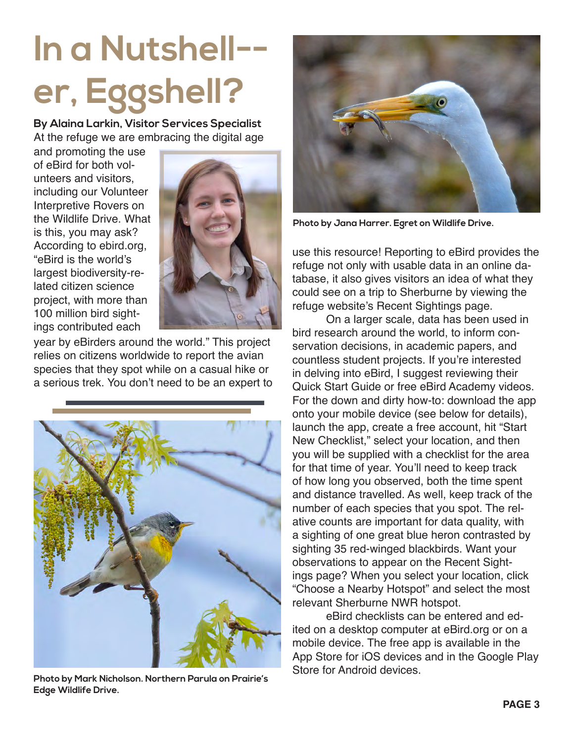# **In a Nutshell- er, Eggshell?**

**By Alaina Larkin, Visitor Services Specialist** At the refuge we are embracing the digital age

and promoting the use of eBird for both volunteers and visitors, including our Volunteer Interpretive Rovers on the Wildlife Drive. What is this, you may ask? According to ebird.org, "eBird is the world's largest biodiversity-related citizen science project, with more than 100 million bird sightings contributed each



year by eBirders around the world." This project relies on citizens worldwide to report the avian species that they spot while on a casual hike or a serious trek. You don't need to be an expert to



**Photo by Mark Nicholson. Northern Parula on Prairie's Edge Wildlife Drive.**



**Photo by Jana Harrer. Egret on Wildlife Drive.**

use this resource! Reporting to eBird provides the refuge not only with usable data in an online database, it also gives visitors an idea of what they could see on a trip to Sherburne by viewing the refuge website's Recent Sightings page.

On a larger scale, data has been used in bird research around the world, to inform conservation decisions, in academic papers, and countless student projects. If you're interested in delving into eBird, I suggest reviewing their Quick Start Guide or free eBird Academy videos. For the down and dirty how-to: download the app onto your mobile device (see below for details), launch the app, create a free account, hit "Start New Checklist," select your location, and then you will be supplied with a checklist for the area for that time of year. You'll need to keep track of how long you observed, both the time spent and distance travelled. As well, keep track of the number of each species that you spot. The relative counts are important for data quality, with a sighting of one great blue heron contrasted by sighting 35 red-winged blackbirds. Want your observations to appear on the Recent Sightings page? When you select your location, click "Choose a Nearby Hotspot" and select the most relevant Sherburne NWR hotspot.

eBird checklists can be entered and edited on a desktop computer at eBird.org or on a mobile device. The free app is available in the App Store for iOS devices and in the Google Play Store for Android devices.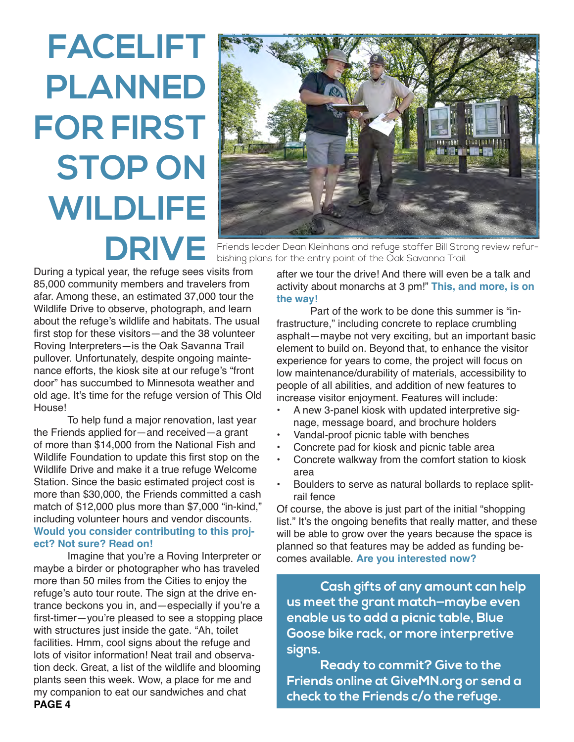# **FACELIFT PLANNED FOR FIRST STOP ON WILDLIFE**



**DRIVE** Friends leader Dean Kleinhans and refuge staffer Bill Strong review refur-<br>bishino plans for the entry point of the Oak Savanna Trail. bishing plans for the entry point of the Oak Savanna Trail.

During a typical year, the refuge sees visits from 85,000 community members and travelers from afar. Among these, an estimated 37,000 tour the Wildlife Drive to observe, photograph, and learn about the refuge's wildlife and habitats. The usual first stop for these visitors—and the 38 volunteer Roving Interpreters—is the Oak Savanna Trail pullover. Unfortunately, despite ongoing maintenance efforts, the kiosk site at our refuge's "front door" has succumbed to Minnesota weather and old age. It's time for the refuge version of This Old House!

To help fund a major renovation, last year the Friends applied for—and received—a grant of more than \$14,000 from the National Fish and Wildlife Foundation to update this first stop on the Wildlife Drive and make it a true refuge Welcome Station. Since the basic estimated project cost is more than \$30,000, the Friends committed a cash match of \$12,000 plus more than \$7,000 "in-kind," including volunteer hours and vendor discounts. **Would you consider contributing to this project? Not sure? Read on!**

**PAGE 4** Imagine that you're a Roving Interpreter or maybe a birder or photographer who has traveled more than 50 miles from the Cities to enjoy the refuge's auto tour route. The sign at the drive entrance beckons you in, and—especially if you're a first-timer—you're pleased to see a stopping place with structures just inside the gate. "Ah, toilet facilities. Hmm, cool signs about the refuge and lots of visitor information! Neat trail and observation deck. Great, a list of the wildlife and blooming plants seen this week. Wow, a place for me and my companion to eat our sandwiches and chat

after we tour the drive! And there will even be a talk and activity about monarchs at 3 pm!" **This, and more, is on the way!**

Part of the work to be done this summer is "infrastructure," including concrete to replace crumbling asphalt—maybe not very exciting, but an important basic element to build on. Beyond that, to enhance the visitor experience for years to come, the project will focus on low maintenance/durability of materials, accessibility to people of all abilities, and addition of new features to increase visitor enjoyment. Features will include:

- A new 3-panel kiosk with updated interpretive signage, message board, and brochure holders
- Vandal-proof picnic table with benches
- Concrete pad for kiosk and picnic table area
- Concrete walkway from the comfort station to kiosk area
- Boulders to serve as natural bollards to replace splitrail fence

Of course, the above is just part of the initial "shopping list." It's the ongoing benefits that really matter, and these will be able to grow over the years because the space is planned so that features may be added as funding becomes available. **Are you interested now?**

**Cash gifts of any amount can help us meet the grant match—maybe even enable us to add a picnic table, Blue Goose bike rack, or more interpretive signs.** 

**Ready to commit? Give to the Friends online at GiveMN.org or send a check to the Friends c/o the refuge.**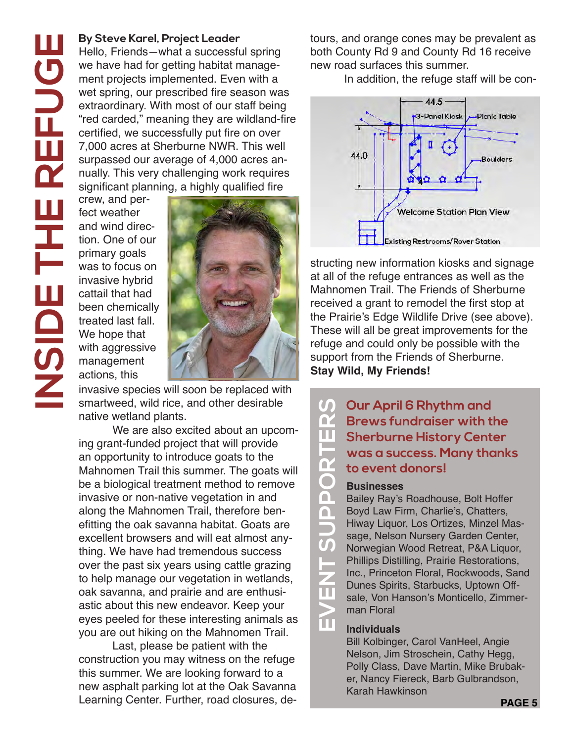#### **By Steve Karel, Project Leader**

Hello, Friends—what a successful spring we have had for getting habitat management projects implemented. Even with a wet spring, our prescribed fire season was extraordinary. With most of our staff being "red carded," meaning they are wildland-fire certified, we successfully put fire on over 7,000 acres at Sherburne NWR. This well surpassed our average of 4,000 acres annually. This very challenging work requires significant planning, a highly qualified fire

crew, and perfect weather and wind direction. One of our primary goals was to focus on invasive hybrid cattail that had been chemically treated last fall. We hope that with aggressive management actions, this



invasive species will soon be replaced with smartweed, wild rice, and other desirable native wetland plants.

We are also excited about an upcoming grant-funded project that will provide an opportunity to introduce goats to the Mahnomen Trail this summer. The goats will be a biological treatment method to remove invasive or non-native vegetation in and along the Mahnomen Trail, therefore benefitting the oak savanna habitat. Goats are excellent browsers and will eat almost anything. We have had tremendous success over the past six years using cattle grazing to help manage our vegetation in wetlands, oak savanna, and prairie and are enthusiastic about this new endeavor. Keep your eyes peeled for these interesting animals as you are out hiking on the Mahnomen Trail.

Last, please be patient with the construction you may witness on the refuge this summer. We are looking forward to a new asphalt parking lot at the Oak Savanna Learning Center. Further, road closures, detours, and orange cones may be prevalent as both County Rd 9 and County Rd 16 receive new road surfaces this summer.

In addition, the refuge staff will be con-



structing new information kiosks and signage at all of the refuge entrances as well as the Mahnomen Trail. The Friends of Sherburne received a grant to remodel the first stop at the Prairie's Edge Wildlife Drive (see above). These will all be great improvements for the refuge and could only be possible with the support from the Friends of Sherburne. **Stay Wild, My Friends!**

## **Our April 6 Rhythm and Brews fundraiser with the Sherburne History Center was a success. Many thanks to event donors!**

**EVENT SHERRY STARFORT SUPPORT SUPPORT SUPPORT SUPPORT SUPPORT SUPPORT SUPPORT SUPPORT SUPPORT SUPPORT SUPPORT SUPPORT SUPPORT SUPPORT SUPPORT SUPPORT SUPPORT SUPPORT SUPPORT SUPPORT SUPPORT SUPPORT SUPPORT SUPPORT SUPPORT** Bailey Ray's Roadhouse, Bolt Hoffer Boyd Law Firm, Charlie's, Chatters, Hiway Liquor, Los Ortizes, Minzel Massage, Nelson Nursery Garden Center, Norwegian Wood Retreat, P&A Liquor, Phillips Distilling, Prairie Restorations, Inc., Princeton Floral, Rockwoods, Sand Dunes Spirits, Starbucks, Uptown Offsale, Von Hanson's Monticello, Zimmerman Floral

### **Individuals**

Bill Kolbinger, Carol VanHeel, Angie Nelson, Jim Stroschein, Cathy Hegg, Polly Class, Dave Martin, Mike Brubaker, Nancy Fiereck, Barb Gulbrandson, Karah Hawkinson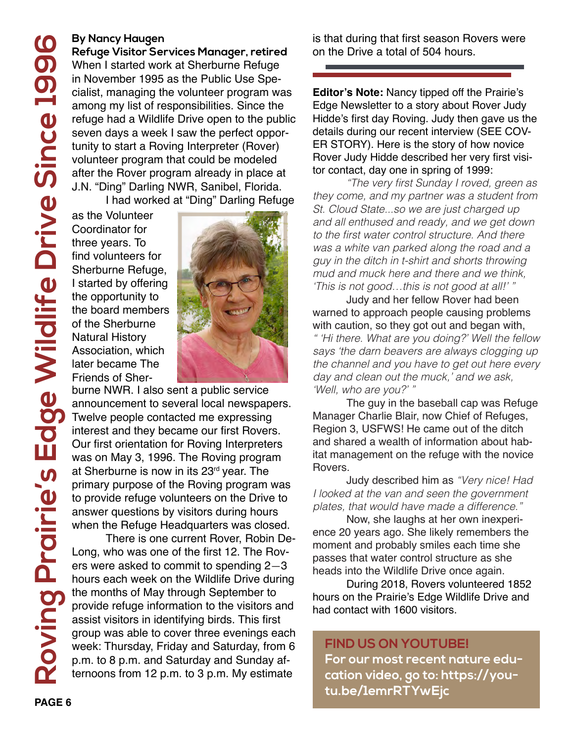### **By Nancy Haugen**

**Refuge Visitor Services Manager, retired** When I started work at Sherburne Refuge in November 1995 as the Public Use Specialist, managing the volunteer program was among my list of responsibilities. Since the refuge had a Wildlife Drive open to the public seven days a week I saw the perfect opportunity to start a Roving Interpreter (Rover) volunteer program that could be modeled after the Rover program already in place at J.N. "Ding" Darling NWR, Sanibel, Florida. I had worked at "Ding" Darling Refuge

as the Volunteer Coordinator for three years. To find volunteers for Sherburne Refuge, I started by offering the opportunity to the board members of the Sherburne Natural History Association, which later became The Friends of Sher-



burne NWR. I also sent a public service announcement to several local newspapers. Twelve people contacted me expressing interest and they became our first Rovers. Our first orientation for Roving Interpreters was on May 3, 1996. The Roving program at Sherburne is now in its  $23<sup>rd</sup>$  year. The primary purpose of the Roving program was to provide refuge volunteers on the Drive to answer questions by visitors during hours when the Refuge Headquarters was closed.

There is one current Rover, Robin De-Long, who was one of the first 12. The Rovers were asked to commit to spending 2—3 hours each week on the Wildlife Drive during the months of May through September to provide refuge information to the visitors and assist visitors in identifying birds. This first group was able to cover three evenings each week: Thursday, Friday and Saturday, from 6 p.m. to 8 p.m. and Saturday and Sunday afternoons from 12 p.m. to 3 p.m. My estimate

is that during that first season Rovers were on the Drive a total of 504 hours.

**Editor's Note:** Nancy tipped off the Prairie's Edge Newsletter to a story about Rover Judy Hidde's first day Roving. Judy then gave us the details during our recent interview (SEE COV-ER STORY). Here is the story of how novice Rover Judy Hidde described her very first visitor contact, day one in spring of 1999:

"The very first Sunday I roved, green as they come, and my partner was a student from St. Cloud State...so we are just charged up and all enthused and ready, and we get down to the first water control structure. And there was a white van parked along the road and a guy in the ditch in t-shirt and shorts throwing mud and muck here and there and we think, 'This is not good…this is not good at all!' "

Judy and her fellow Rover had been warned to approach people causing problems with caution, so they got out and began with, " 'Hi there. What are you doing?' Well the fellow says 'the darn beavers are always clogging up the channel and you have to get out here every day and clean out the muck,' and we ask, 'Well, who are you?' "

The guy in the baseball cap was Refuge Manager Charlie Blair, now Chief of Refuges, Region 3, USFWS! He came out of the ditch and shared a wealth of information about habitat management on the refuge with the novice Rovers.

Judy described him as "Very nice! Had I looked at the van and seen the government plates, that would have made a difference."

Now, she laughs at her own inexperience 20 years ago. She likely remembers the moment and probably smiles each time she passes that water control structure as she heads into the Wildlife Drive once again.

During 2018, Rovers volunteered 1852 hours on the Prairie's Edge Wildlife Drive and had contact with 1600 visitors.

## **FIND US ON YOUTUBE!**

**For our most recent nature education video, go to: https://youtu.be/1emrRTYwEjc**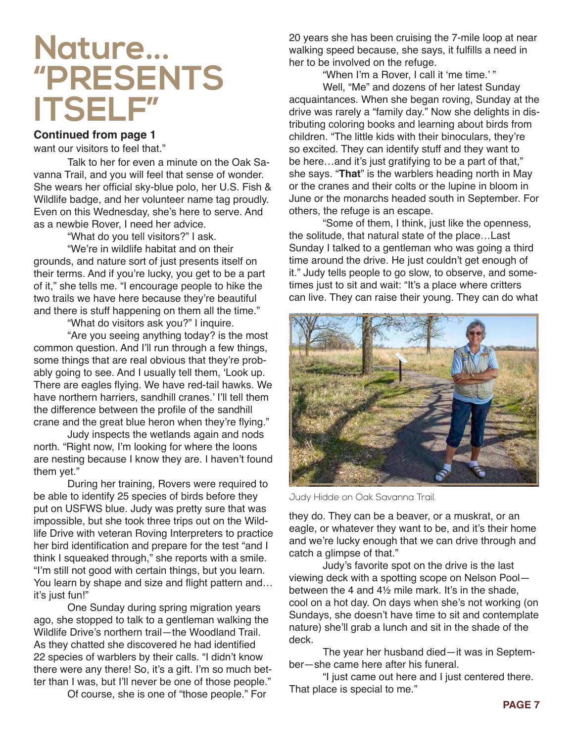## **Nature... "PRESENTS ITSELF"**

## **Continued from page 1**

want our visitors to feel that."

Talk to her for even a minute on the Oak Savanna Trail, and you will feel that sense of wonder. She wears her official sky-blue polo, her U.S. Fish & Wildlife badge, and her volunteer name tag proudly. Even on this Wednesday, she's here to serve. And as a newbie Rover, I need her advice.

"What do you tell visitors?" I ask.

"We're in wildlife habitat and on their grounds, and nature sort of just presents itself on their terms. And if you're lucky, you get to be a part of it," she tells me. "I encourage people to hike the two trails we have here because they're beautiful and there is stuff happening on them all the time."

"What do visitors ask you?" I inquire.

"Are you seeing anything today? is the most common question. And I'll run through a few things, some things that are real obvious that they're probably going to see. And I usually tell them, 'Look up. There are eagles flying. We have red-tail hawks. We have northern harriers, sandhill cranes.' I'll tell them the difference between the profile of the sandhill crane and the great blue heron when they're flying."

Judy inspects the wetlands again and nods north. "Right now, I'm looking for where the loons are nesting because I know they are. I haven't found them yet."

During her training, Rovers were required to be able to identify 25 species of birds before they put on USFWS blue. Judy was pretty sure that was impossible, but she took three trips out on the Wildlife Drive with veteran Roving Interpreters to practice her bird identification and prepare for the test "and I think I squeaked through," she reports with a smile. "I'm still not good with certain things, but you learn. You learn by shape and size and flight pattern and… it's just fun!"

One Sunday during spring migration years ago, she stopped to talk to a gentleman walking the Wildlife Drive's northern trail—the Woodland Trail. As they chatted she discovered he had identified 22 species of warblers by their calls. "I didn't know there were any there! So, it's a gift. I'm so much better than I was, but I'll never be one of those people."

Of course, she is one of "those people." For

20 years she has been cruising the 7-mile loop at near walking speed because, she says, it fulfills a need in her to be involved on the refuge.

"When I'm a Rover, I call it 'me time.' " Well, "Me" and dozens of her latest Sunday acquaintances. When she began roving, Sunday at the drive was rarely a "family day." Now she delights in distributing coloring books and learning about birds from children. "The little kids with their binoculars, they're so excited. They can identify stuff and they want to be here…and it's just gratifying to be a part of that," she says. "**That**" is the warblers heading north in May or the cranes and their colts or the lupine in bloom in June or the monarchs headed south in September. For others, the refuge is an escape.

"Some of them, I think, just like the openness, the solitude, that natural state of the place…Last Sunday I talked to a gentleman who was going a third time around the drive. He just couldn't get enough of it." Judy tells people to go slow, to observe, and sometimes just to sit and wait: "It's a place where critters can live. They can raise their young. They can do what



Judy Hidde on Oak Savanna Trail.

they do. They can be a beaver, or a muskrat, or an eagle, or whatever they want to be, and it's their home and we're lucky enough that we can drive through and catch a glimpse of that."

Judy's favorite spot on the drive is the last viewing deck with a spotting scope on Nelson Pool between the 4 and 4½ mile mark. It's in the shade, cool on a hot day. On days when she's not working (on Sundays, she doesn't have time to sit and contemplate nature) she'll grab a lunch and sit in the shade of the deck.

The year her husband died—it was in September—she came here after his funeral.

"I just came out here and I just centered there. That place is special to me."